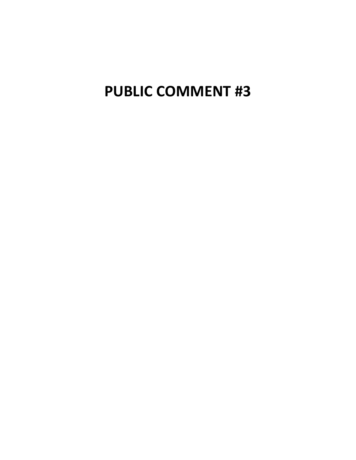# **PUBLIC COMMENT #3**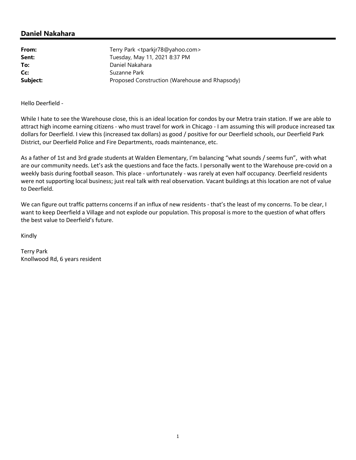| From:    | Terry Park <tparkjr78@yahoo.com></tparkjr78@yahoo.com> |
|----------|--------------------------------------------------------|
| Sent:    | Tuesday, May 11, 2021 8:37 PM                          |
| To:      | Daniel Nakahara                                        |
| Cc:      | Suzanne Park                                           |
| Subject: | Proposed Construction (Warehouse and Rhapsody)         |

Hello Deerfield -

While I hate to see the Warehouse close, this is an ideal location for condos by our Metra train station. If we are able to attract high income earning citizens - who must travel for work in Chicago - I am assuming this will produce increased tax dollars for Deerfield. I view this (increased tax dollars) as good / positive for our Deerfield schools, our Deerfield Park District, our Deerfield Police and Fire Departments, roads maintenance, etc.

As a father of 1st and 3rd grade students at Walden Elementary, I'm balancing "what sounds / seems fun", with what are our community needs. Let's ask the questions and face the facts. I personally went to the Warehouse pre-covid on a weekly basis during football season. This place - unfortunately - was rarely at even half occupancy. Deerfield residents were not supporting local business; just real talk with real observation. Vacant buildings at this location are not of value to Deerfield.

We can figure out traffic patterns concerns if an influx of new residents - that's the least of my concerns. To be clear, I want to keep Deerfield a Village and not explode our population. This proposal is more to the question of what offers the best value to Deerfield's future.

Kindly

Terry Park Knollwood Rd, 6 years resident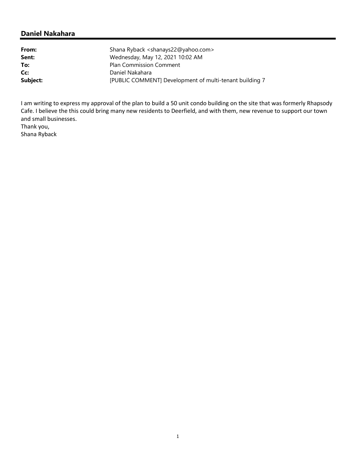| Shana Ryback <shanays22@yahoo.com></shanays22@yahoo.com> |
|----------------------------------------------------------|
| Wednesday, May 12, 2021 10:02 AM                         |
| <b>Plan Commission Comment</b>                           |
| Daniel Nakahara                                          |
| [PUBLIC COMMENT] Development of multi-tenant building 7  |
|                                                          |

I am writing to express my approval of the plan to build a 50 unit condo building on the site that was formerly Rhapsody Cafe. I believe the this could bring many new residents to Deerfield, and with them, new revenue to support our town and small businesses.

Thank you, Shana Ryback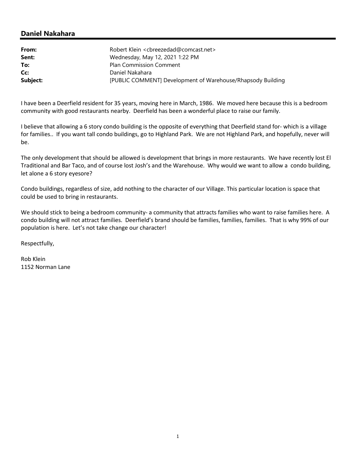| From:    | Robert Klein <cbreezedad@comcast.net></cbreezedad@comcast.net> |
|----------|----------------------------------------------------------------|
| Sent:    | Wednesday, May 12, 2021 1:22 PM                                |
| To:      | <b>Plan Commission Comment</b>                                 |
| Cc:      | Daniel Nakahara                                                |
| Subject: | [PUBLIC COMMENT] Development of Warehouse/Rhapsody Building    |

I have been a Deerfield resident for 35 years, moving here in March, 1986. We moved here because this is a bedroom community with good restaurants nearby. Deerfield has been a wonderful place to raise our family.

I believe that allowing a 6 story condo building is the opposite of everything that Deerfield stand for- which is a village for families.. If you want tall condo buildings, go to Highland Park. We are not Highland Park, and hopefully, never will be.

The only development that should be allowed is development that brings in more restaurants. We have recently lost El Traditional and Bar Taco, and of course lost Josh's and the Warehouse. Why would we want to allow a condo building, let alone a 6 story eyesore?

Condo buildings, regardless of size, add nothing to the character of our Village. This particular location is space that could be used to bring in restaurants.

We should stick to being a bedroom community- a community that attracts families who want to raise families here. A condo building will not attract families. Deerfield's brand should be families, families, families. That is why 99% of our population is here. Let's not take change our character!

Respectfully,

Rob Klein 1152 Norman Lane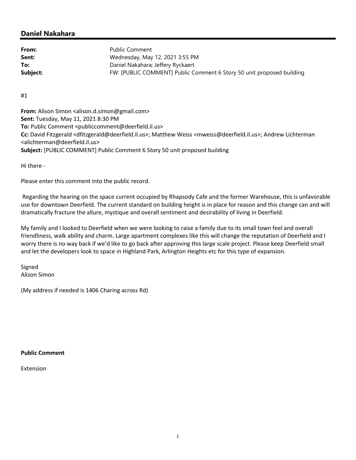| From:    | Public Comment                                                        |
|----------|-----------------------------------------------------------------------|
| Sent:    | Wednesday, May 12, 2021 3:55 PM                                       |
| To:      | Daniel Nakahara; Jeffery Ryckaert                                     |
| Subject: | FW: [PUBLIC COMMENT] Public Comment 6 Story 50 unit proposed building |

#1

**From:** Alison Simon <alison.d.simon@gmail.com> **Sent:** Tuesday, May 11, 2021 8:30 PM **To:** Public Comment <publiccomment@deerfield.il.us> **Cc:** David Fitzgerald <dfitzgerald@deerfield.il.us>; Matthew Weiss <mweiss@deerfield.il.us>; Andrew Lichterman <alichterman@deerfield.il.us> **Subject:** [PUBLIC COMMENT] Public Comment 6 Story 50 unit proposed building

Hi there -

Please enter this comment into the public record.

Regarding the hearing on the space current occupied by Rhapsody Cafe and the former Warehouse, this is unfavorable use for downtown Deerfield. The current standard on building height is in place for reason and this change can and will dramatically fracture the allure, mystique and overall sentiment and desirability of living in Deerfield.

My family and I looked to Deerfield when we were looking to raise a family due to its small town feel and overall friendliness, walk ability and charm. Large apartment complexes like this will change the reputation of Deerfield and I worry there is no way back if we'd like to go back after approving this large scale project. Please keep Deerfield small and let the developers look to space in Highland Park, Arlington Heights etc for this type of expansion.

Signed Alison Simon

(My address if needed is 1406 Charing across Rd)

**Public Comment**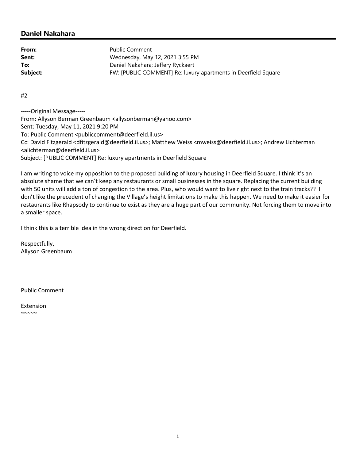From: Public Comment **Sent:** Wednesday, May 12, 2021 3:55 PM **To:** Daniel Nakahara; Jeffery Ryckaert **Subject:** FW: [PUBLIC COMMENT] Re: luxury apartments in Deerfield Square

#2

-----Original Message----- From: Allyson Berman Greenbaum <allysonberman@yahoo.com> Sent: Tuesday, May 11, 2021 9:20 PM To: Public Comment <publiccomment@deerfield.il.us> Cc: David Fitzgerald <dfitzgerald@deerfield.il.us>; Matthew Weiss <mweiss@deerfield.il.us>; Andrew Lichterman <alichterman@deerfield.il.us> Subject: [PUBLIC COMMENT] Re: luxury apartments in Deerfield Square

I am writing to voice my opposition to the proposed building of luxury housing in Deerfield Square. I think it's an absolute shame that we can't keep any restaurants or small businesses in the square. Replacing the current building with 50 units will add a ton of congestion to the area. Plus, who would want to live right next to the train tracks?? I don't like the precedent of changing the Village's height limitations to make this happen. We need to make it easier for restaurants like Rhapsody to continue to exist as they are a huge part of our community. Not forcing them to move into a smaller space.

I think this is a terrible idea in the wrong direction for Deerfield.

Respectfully, Allyson Greenbaum

Public Comment

Extension  $\sim\sim\sim\sim$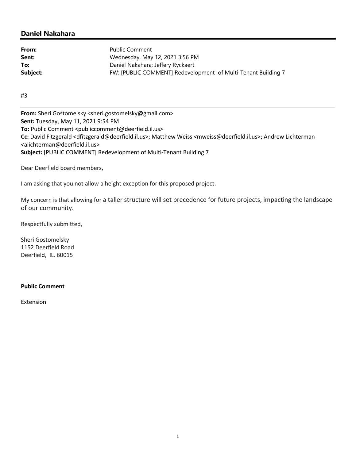| From:    | Public Comment                                                |
|----------|---------------------------------------------------------------|
| Sent:    | Wednesday, May 12, 2021 3:56 PM                               |
| To:      | Daniel Nakahara; Jeffery Ryckaert                             |
| Subject: | FW: [PUBLIC COMMENT] Redevelopment of Multi-Tenant Building 7 |

#3

**From:** Sheri Gostomelsky <sheri.gostomelsky@gmail.com> **Sent:** Tuesday, May 11, 2021 9:54 PM **To:** Public Comment <publiccomment@deerfield.il.us> **Cc:** David Fitzgerald <dfitzgerald@deerfield.il.us>; Matthew Weiss <mweiss@deerfield.il.us>; Andrew Lichterman <alichterman@deerfield.il.us> **Subject:** [PUBLIC COMMENT] Redevelopment of Multi-Tenant Building 7

Dear Deerfield board members,

I am asking that you not allow a height exception for this proposed project.

My concern is that allowing for a taller structure will set precedence for future projects, impacting the landscape of our community.

Respectfully submitted,

Sheri Gostomelsky 1152 Deerfield Road Deerfield, IL. 60015

#### **Public Comment**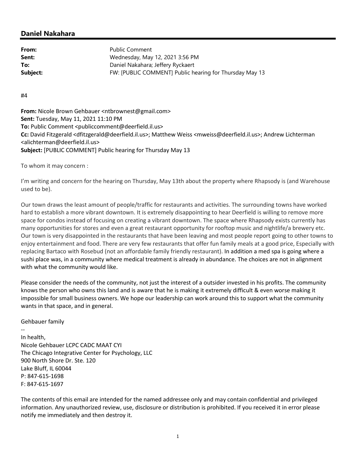| From:    | <b>Public Comment</b>                                   |
|----------|---------------------------------------------------------|
| Sent:    | Wednesday, May 12, 2021 3:56 PM                         |
| To:      | Daniel Nakahara; Jeffery Ryckaert                       |
| Subject: | FW: [PUBLIC COMMENT] Public hearing for Thursday May 13 |

#4

**From:** Nicole Brown Gehbauer <ntbrownest@gmail.com> **Sent:** Tuesday, May 11, 2021 11:10 PM **To:** Public Comment <publiccomment@deerfield.il.us> **Cc:** David Fitzgerald <dfitzgerald@deerfield.il.us>; Matthew Weiss <mweiss@deerfield.il.us>; Andrew Lichterman <alichterman@deerfield.il.us> **Subject:** [PUBLIC COMMENT] Public hearing for Thursday May 13

To whom it may concern :

I'm writing and concern for the hearing on Thursday, May 13th about the property where Rhapsody is (and Warehouse used to be).

Our town draws the least amount of people/traffic for restaurants and activities. The surrounding towns have worked hard to establish a more vibrant downtown. It is extremely disappointing to hear Deerfield is willing to remove more space for condos instead of focusing on creating a vibrant downtown. The space where Rhapsody exists currently has many opportunities for stores and even a great restaurant opportunity for rooftop music and nightlife/a brewery etc. Our town is very disappointed in the restaurants that have been leaving and most people report going to other towns to enjoy entertainment and food. There are very few restaurants that offer fun family meals at a good price, Especially with replacing Bartaco with Rosebud (not an affordable family friendly restaurant). In addition a med spa is going where a sushi place was, in a community where medical treatment is already in abundance. The choices are not in alignment with what the community would like.

Please consider the needs of the community, not just the interest of a outsider invested in his profits. The community knows the person who owns this land and is aware that he is making it extremely difficult & even worse making it impossible for small business owners. We hope our leadership can work around this to support what the community wants in that space, and in general.

Gehbauer family

-- In health, Nicole Gehbauer LCPC CADC MAAT CYI The Chicago Integrative Center for Psychology, LLC 900 North Shore Dr. Ste. 120 Lake Bluff, IL 60044 P: 847-615-1698 F: 847-615-1697

The contents of this email are intended for the named addressee only and may contain confidential and privileged information. Any unauthorized review, use, disclosure or distribution is prohibited. If you received it in error please notify me immediately and then destroy it.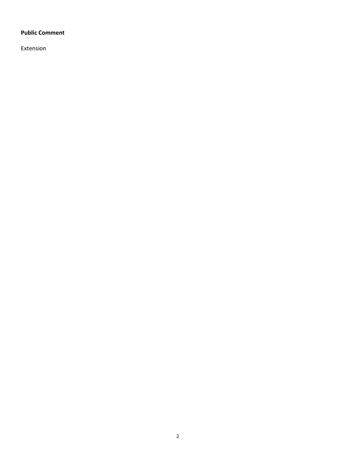#### **Public Comment**